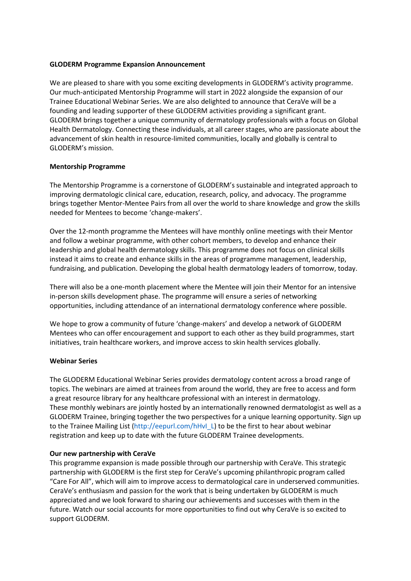## **GLODERM Programme Expansion Announcement**

We are pleased to share with you some exciting developments in GLODERM's activity programme. Our much-anticipated Mentorship Programme will start in 2022 alongside the expansion of our Trainee Educational Webinar Series. We are also delighted to announce that CeraVe will be a founding and leading supporter of these GLODERM activities providing a significant grant. GLODERM brings together a unique community of dermatology professionals with a focus on Global Health Dermatology. Connecting these individuals, at all career stages, who are passionate about the advancement of skin health in resource-limited communities, locally and globally is central to GLODERM's mission.

## **Mentorship Programme**

The Mentorship Programme is a cornerstone of GLODERM's sustainable and integrated approach to improving dermatologic clinical care, education, research, policy, and advocacy. The programme brings together Mentor-Mentee Pairs from all over the world to share knowledge and grow the skills needed for Mentees to become 'change-makers'.

Over the 12-month programme the Mentees will have monthly online meetings with their Mentor and follow a webinar programme, with other cohort members, to develop and enhance their leadership and global health dermatology skills. This programme does not focus on clinical skills instead it aims to create and enhance skills in the areas of programme management, leadership, fundraising, and publication. Developing the global health dermatology leaders of tomorrow, today.

There will also be a one-month placement where the Mentee will join their Mentor for an intensive in-person skills development phase. The programme will ensure a series of networking opportunities, including attendance of an international dermatology conference where possible.

We hope to grow a community of future 'change-makers' and develop a network of GLODERM Mentees who can offer encouragement and support to each other as they build programmes, start initiatives, train healthcare workers, and improve access to skin health services globally.

## **Webinar Series**

The GLODERM Educational Webinar Series provides dermatology content across a broad range of topics. The webinars are aimed at trainees from around the world, they are free to access and form a great resource library for any healthcare professional with an interest in dermatology. These monthly webinars are jointly hosted by an internationally renowned dermatologist as well as a GLODERM Trainee, bringing together the two perspectives for a unique learning opportunity. Sign up to the Trainee Mailing List (http://eepurl.com/hHvI\_L) to be the first to hear about webinar registration and keep up to date with the future GLODERM Trainee developments.

## **Our new partnership with CeraVe**

This programme expansion is made possible through our partnership with CeraVe. This strategic partnership with GLODERM is the first step for CeraVe's upcoming philanthropic program called "Care For All", which will aim to improve access to dermatological care in underserved communities. CeraVe's enthusiasm and passion for the work that is being undertaken by GLODERM is much appreciated and we look forward to sharing our achievements and successes with them in the future. Watch our social accounts for more opportunities to find out why CeraVe is so excited to support GLODERM.